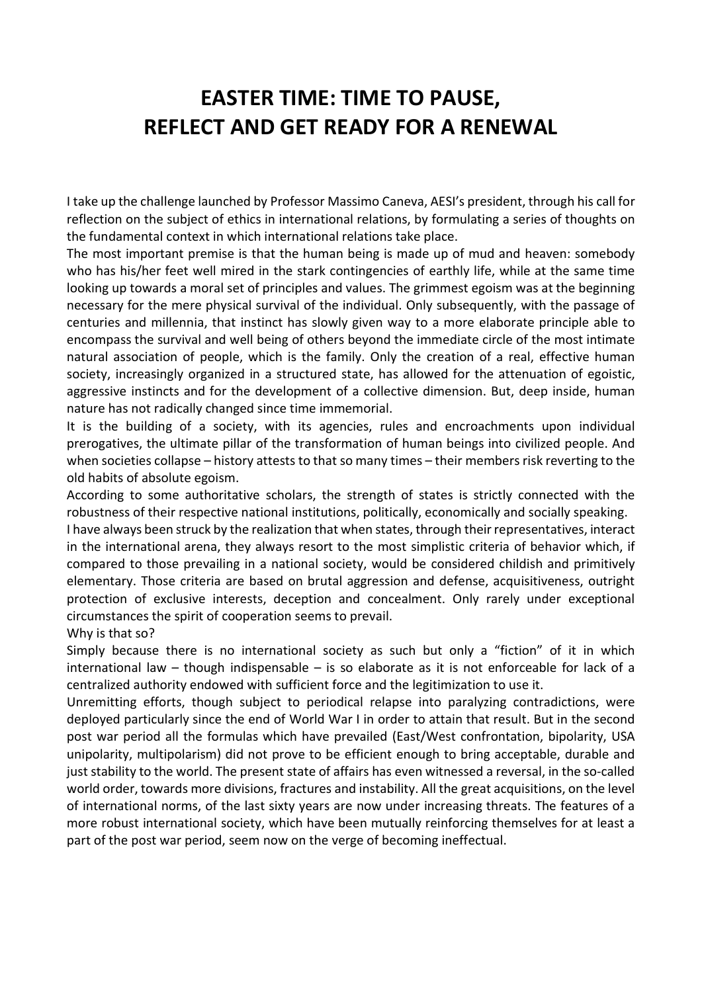## EASTER TIME: TIME TO PAUSE, REFLECT AND GET READY FOR A RENEWAL

I take up the challenge launched by Professor Massimo Caneva, AESI's president, through his call for reflection on the subject of ethics in international relations, by formulating a series of thoughts on the fundamental context in which international relations take place.

The most important premise is that the human being is made up of mud and heaven: somebody who has his/her feet well mired in the stark contingencies of earthly life, while at the same time looking up towards a moral set of principles and values. The grimmest egoism was at the beginning necessary for the mere physical survival of the individual. Only subsequently, with the passage of centuries and millennia, that instinct has slowly given way to a more elaborate principle able to encompass the survival and well being of others beyond the immediate circle of the most intimate natural association of people, which is the family. Only the creation of a real, effective human society, increasingly organized in a structured state, has allowed for the attenuation of egoistic, aggressive instincts and for the development of a collective dimension. But, deep inside, human nature has not radically changed since time immemorial.

It is the building of a society, with its agencies, rules and encroachments upon individual prerogatives, the ultimate pillar of the transformation of human beings into civilized people. And when societies collapse – history attests to that so many times – their members risk reverting to the old habits of absolute egoism.

According to some authoritative scholars, the strength of states is strictly connected with the robustness of their respective national institutions, politically, economically and socially speaking.

I have always been struck by the realization that when states, through their representatives, interact in the international arena, they always resort to the most simplistic criteria of behavior which, if compared to those prevailing in a national society, would be considered childish and primitively elementary. Those criteria are based on brutal aggression and defense, acquisitiveness, outright protection of exclusive interests, deception and concealment. Only rarely under exceptional circumstances the spirit of cooperation seems to prevail.

Why is that so?

Simply because there is no international society as such but only a "fiction" of it in which international law – though indispensable – is so elaborate as it is not enforceable for lack of a centralized authority endowed with sufficient force and the legitimization to use it.

Unremitting efforts, though subject to periodical relapse into paralyzing contradictions, were deployed particularly since the end of World War I in order to attain that result. But in the second post war period all the formulas which have prevailed (East/West confrontation, bipolarity, USA unipolarity, multipolarism) did not prove to be efficient enough to bring acceptable, durable and just stability to the world. The present state of affairs has even witnessed a reversal, in the so-called world order, towards more divisions, fractures and instability. All the great acquisitions, on the level of international norms, of the last sixty years are now under increasing threats. The features of a more robust international society, which have been mutually reinforcing themselves for at least a part of the post war period, seem now on the verge of becoming ineffectual.